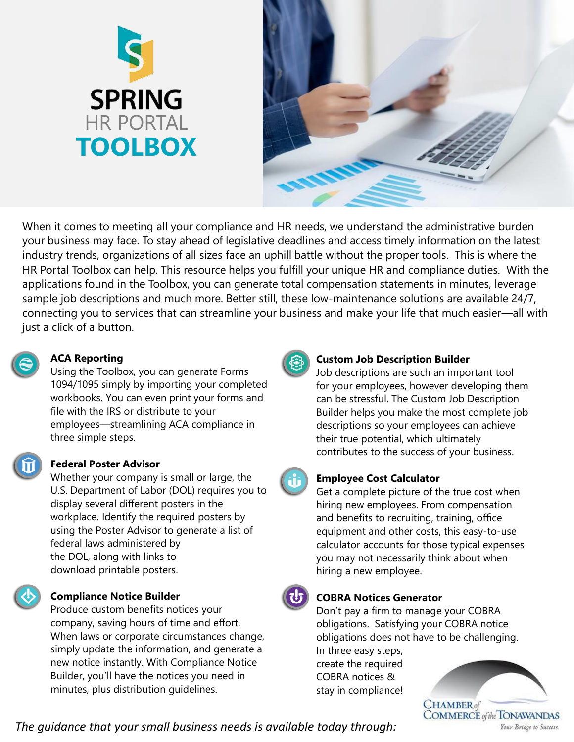



When it comes to meeting all your compliance and HR needs, we understand the administrative burden your business may face. To stay ahead of legislative deadlines and access timely information on the latest industry trends, organizations of all sizes face an uphill battle without the proper tools. This is where the HR Portal Toolbox can help. This resource helps you fulfill your unique HR and compliance duties. With the applications found in the Toolbox, you can generate total compensation statements in minutes, leverage sample job descriptions and much more. Better still, these low-maintenance solutions are available 24/7, connecting you to services that can streamline your business and make your life that much easier—all with just a click of a button.



# **ACA Reporting**

Using the Toolbox, you can generate Forms 1094/1095 simply by importing your completed workbooks. You can even print your forms and file with the IRS or distribute to your employees—streamlining ACA compliance in three simple steps.



### **Federal Poster Advisor**

Whether your company is small or large, the U.S. Department of Labor (DOL) requires you to display several different posters in the workplace. Identify the required posters by using the Poster Advisor to generate a list of federal laws administered by the DOL, along with links to download printable posters.

# **Compliance Notice Builder**

Produce custom benefits notices your company, saving hours of time and effort. When laws or corporate circumstances change, simply update the information, and generate a new notice instantly. With Compliance Notice Builder, you'll have the notices you need in minutes, plus distribution guidelines.



#### **Custom Job Description Builder**

Job descriptions are such an important tool for your employees, however developing them can be stressful. The Custom Job Description Builder helps you make the most complete job descriptions so your employees can achieve their true potential, which ultimately contributes to the success of your business.

### **Employee Cost Calculator**

Get a complete picture of the true cost when hiring new employees. From compensation and benefits to recruiting, training, office equipment and other costs, this easy-to-use calculator accounts for those typical expenses you may not necessarily think about when hiring a new employee.



# **COBRA Notices Generator**

Don't pay a firm to manage your COBRA obligations. Satisfying your COBRA notice obligations does not have to be challenging.

In three easy steps, create the required COBRA notices & stay in compliance!



*The guidance that your small business needs is available today through:*